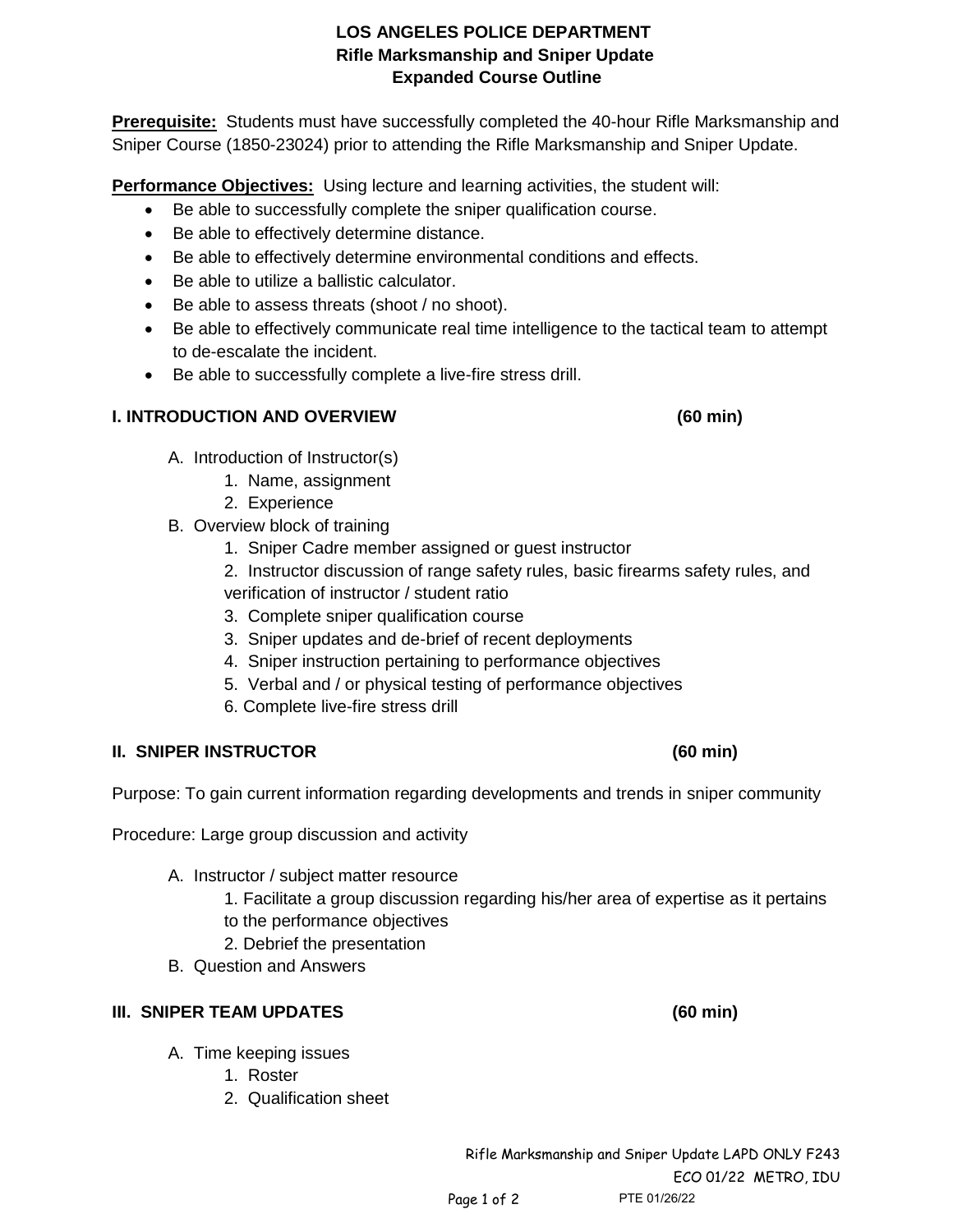## **LOS ANGELES POLICE DEPARTMENT Rifle Marksmanship and Sniper Update Expanded Course Outline**

**Prerequisite:** Students must have successfully completed the 40-hour Rifle Marksmanship and Sniper Course (1850-23024) prior to attending the Rifle Marksmanship and Sniper Update.

**Performance Objectives:** Using lecture and learning activities, the student will:

- Be able to successfully complete the sniper qualification course.
- Be able to effectively determine distance.
- Be able to effectively determine environmental conditions and effects.
- Be able to utilize a ballistic calculator.
- Be able to assess threats (shoot / no shoot).
- Be able to effectively communicate real time intelligence to the tactical team to attempt to de-escalate the incident.
- Be able to successfully complete a live-fire stress drill.

## **I. INTRODUCTION AND OVERVIEW (60 min)**

- A. Introduction of Instructor(s)
	- 1. Name, assignment
	- 2. Experience
- B. Overview block of training
	- 1. Sniper Cadre member assigned or guest instructor
	- 2. Instructor discussion of range safety rules, basic firearms safety rules, and verification of instructor / student ratio
	- 3. Complete sniper qualification course
	- 3. Sniper updates and de-brief of recent deployments
	- 4. Sniper instruction pertaining to performance objectives
	- 5. Verbal and / or physical testing of performance objectives
	- 6. Complete live-fire stress drill

### **II. SNIPER INSTRUCTOR (60 min)**

Purpose: To gain current information regarding developments and trends in sniper community

Procedure: Large group discussion and activity

- A. Instructor / subject matter resource
	- 1. Facilitate a group discussion regarding his/her area of expertise as it pertains
	- to the performance objectives
	- 2. Debrief the presentation
- B. Question and Answers

# **III. SNIPER TEAM UPDATES (60 min)**

- A. Time keeping issues
	- 1. Roster
	- 2. Qualification sheet